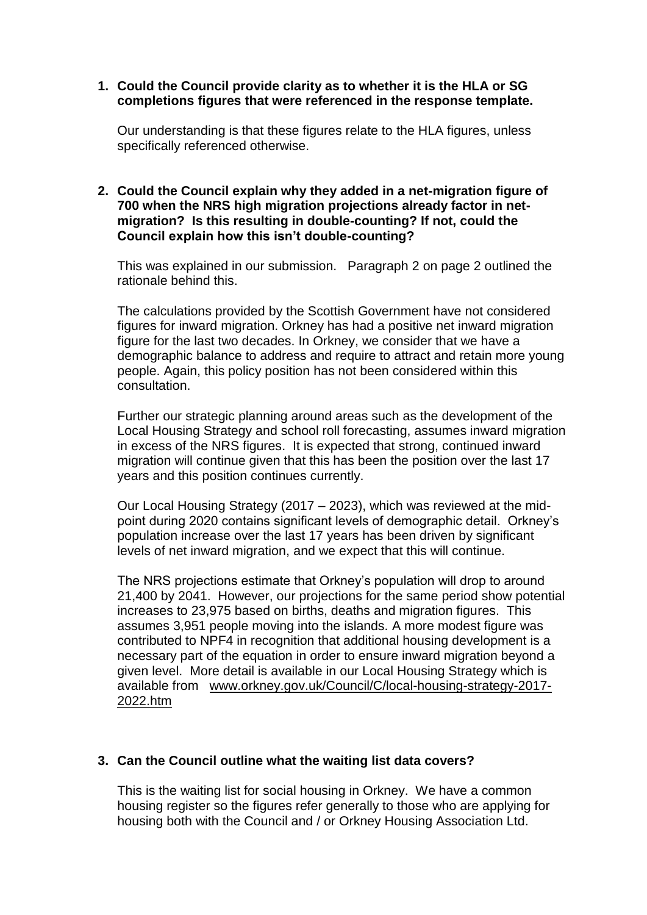## **1. Could the Council provide clarity as to whether it is the HLA or SG completions figures that were referenced in the response template.**

Our understanding is that these figures relate to the HLA figures, unless specifically referenced otherwise.

## **2. Could the Council explain why they added in a net-migration figure of 700 when the NRS high migration projections already factor in netmigration? Is this resulting in double-counting? If not, could the Council explain how this isn't double-counting?**

This was explained in our submission. Paragraph 2 on page 2 outlined the rationale behind this.

The calculations provided by the Scottish Government have not considered figures for inward migration. Orkney has had a positive net inward migration figure for the last two decades. In Orkney, we consider that we have a demographic balance to address and require to attract and retain more young people. Again, this policy position has not been considered within this consultation.

Further our strategic planning around areas such as the development of the Local Housing Strategy and school roll forecasting, assumes inward migration in excess of the NRS figures. It is expected that strong, continued inward migration will continue given that this has been the position over the last 17 years and this position continues currently.

Our Local Housing Strategy (2017 – 2023), which was reviewed at the midpoint during 2020 contains significant levels of demographic detail. Orkney's population increase over the last 17 years has been driven by significant levels of net inward migration, and we expect that this will continue.

The NRS projections estimate that Orkney's population will drop to around 21,400 by 2041. However, our projections for the same period show potential increases to 23,975 based on births, deaths and migration figures. This assumes 3,951 people moving into the islands. A more modest figure was contributed to NPF4 in recognition that additional housing development is a necessary part of the equation in order to ensure inward migration beyond a given level. More detail is available in our Local Housing Strategy which is available from [www.orkney.gov.uk/Council/C/local-housing-strategy-2017-](http://www.orkney.gov.uk/Council/C/local-housing-strategy-2017-2022.htm) [2022.htm](http://www.orkney.gov.uk/Council/C/local-housing-strategy-2017-2022.htm)

## **3. Can the Council outline what the waiting list data covers?**

This is the waiting list for social housing in Orkney. We have a common housing register so the figures refer generally to those who are applying for housing both with the Council and / or Orkney Housing Association Ltd.